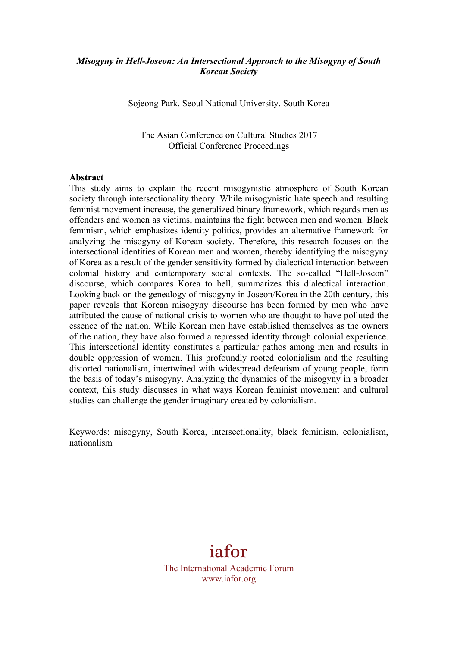# *Misogyny in Hell-Joseon: An Intersectional Approach to the Misogyny of South Korean Society*

Sojeong Park, Seoul National University, South Korea

The Asian Conference on Cultural Studies 2017 Official Conference Proceedings

#### **Abstract**

This study aims to explain the recent misogynistic atmosphere of South Korean society through intersectionality theory. While misogynistic hate speech and resulting feminist movement increase, the generalized binary framework, which regards men as offenders and women as victims, maintains the fight between men and women. Black feminism, which emphasizes identity politics, provides an alternative framework for analyzing the misogyny of Korean society. Therefore, this research focuses on the intersectional identities of Korean men and women, thereby identifying the misogyny of Korea as a result of the gender sensitivity formed by dialectical interaction between colonial history and contemporary social contexts. The so-called "Hell-Joseon" discourse, which compares Korea to hell, summarizes this dialectical interaction. Looking back on the genealogy of misogyny in Joseon/Korea in the 20th century, this paper reveals that Korean misogyny discourse has been formed by men who have attributed the cause of national crisis to women who are thought to have polluted the essence of the nation. While Korean men have established themselves as the owners of the nation, they have also formed a repressed identity through colonial experience. This intersectional identity constitutes a particular pathos among men and results in double oppression of women. This profoundly rooted colonialism and the resulting distorted nationalism, intertwined with widespread defeatism of young people, form the basis of today's misogyny. Analyzing the dynamics of the misogyny in a broader context, this study discusses in what ways Korean feminist movement and cultural studies can challenge the gender imaginary created by colonialism.

Keywords: misogyny, South Korea, intersectionality, black feminism, colonialism, nationalism

# iafor

The International Academic Forum www.iafor.org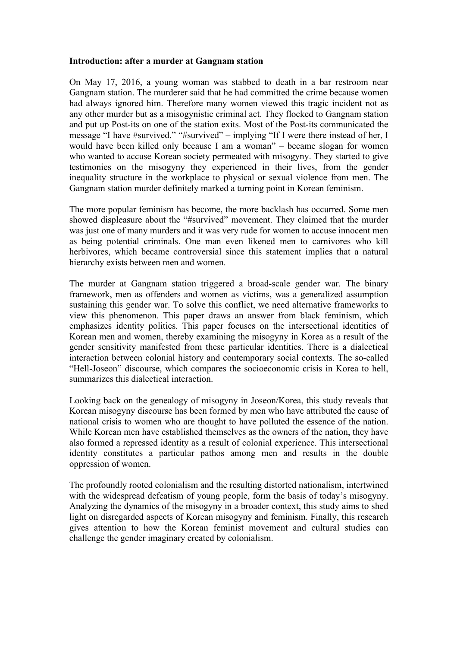### **Introduction: after a murder at Gangnam station**

On May 17, 2016, a young woman was stabbed to death in a bar restroom near Gangnam station. The murderer said that he had committed the crime because women had always ignored him. Therefore many women viewed this tragic incident not as any other murder but as a misogynistic criminal act. They flocked to Gangnam station and put up Post-its on one of the station exits. Most of the Post-its communicated the message "I have #survived." "#survived" – implying "If I were there instead of her, I would have been killed only because I am a woman" – became slogan for women who wanted to accuse Korean society permeated with misogyny. They started to give testimonies on the misogyny they experienced in their lives, from the gender inequality structure in the workplace to physical or sexual violence from men. The Gangnam station murder definitely marked a turning point in Korean feminism.

The more popular feminism has become, the more backlash has occurred. Some men showed displeasure about the "#survived" movement. They claimed that the murder was just one of many murders and it was very rude for women to accuse innocent men as being potential criminals. One man even likened men to carnivores who kill herbivores, which became controversial since this statement implies that a natural hierarchy exists between men and women.

The murder at Gangnam station triggered a broad-scale gender war. The binary framework, men as offenders and women as victims, was a generalized assumption sustaining this gender war. To solve this conflict, we need alternative frameworks to view this phenomenon. This paper draws an answer from black feminism, which emphasizes identity politics. This paper focuses on the intersectional identities of Korean men and women, thereby examining the misogyny in Korea as a result of the gender sensitivity manifested from these particular identities. There is a dialectical interaction between colonial history and contemporary social contexts. The so-called "Hell-Joseon" discourse, which compares the socioeconomic crisis in Korea to hell, summarizes this dialectical interaction.

Looking back on the genealogy of misogyny in Joseon/Korea, this study reveals that Korean misogyny discourse has been formed by men who have attributed the cause of national crisis to women who are thought to have polluted the essence of the nation. While Korean men have established themselves as the owners of the nation, they have also formed a repressed identity as a result of colonial experience. This intersectional identity constitutes a particular pathos among men and results in the double oppression of women.

The profoundly rooted colonialism and the resulting distorted nationalism, intertwined with the widespread defeatism of young people, form the basis of today's misogyny. Analyzing the dynamics of the misogyny in a broader context, this study aims to shed light on disregarded aspects of Korean misogyny and feminism. Finally, this research gives attention to how the Korean feminist movement and cultural studies can challenge the gender imaginary created by colonialism.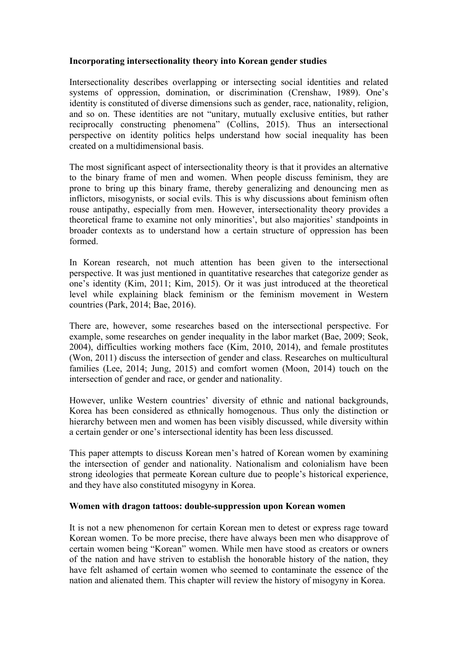# **Incorporating intersectionality theory into Korean gender studies**

Intersectionality describes overlapping or intersecting social identities and related systems of oppression, domination, or discrimination (Crenshaw, 1989). One's identity is constituted of diverse dimensions such as gender, race, nationality, religion, and so on. These identities are not "unitary, mutually exclusive entities, but rather reciprocally constructing phenomena" (Collins, 2015). Thus an intersectional perspective on identity politics helps understand how social inequality has been created on a multidimensional basis.

The most significant aspect of intersectionality theory is that it provides an alternative to the binary frame of men and women. When people discuss feminism, they are prone to bring up this binary frame, thereby generalizing and denouncing men as inflictors, misogynists, or social evils. This is why discussions about feminism often rouse antipathy, especially from men. However, intersectionality theory provides a theoretical frame to examine not only minorities', but also majorities' standpoints in broader contexts as to understand how a certain structure of oppression has been formed.

In Korean research, not much attention has been given to the intersectional perspective. It was just mentioned in quantitative researches that categorize gender as one's identity (Kim, 2011; Kim, 2015). Or it was just introduced at the theoretical level while explaining black feminism or the feminism movement in Western countries (Park, 2014; Bae, 2016).

There are, however, some researches based on the intersectional perspective. For example, some researches on gender inequality in the labor market (Bae, 2009; Seok, 2004), difficulties working mothers face (Kim, 2010, 2014), and female prostitutes (Won, 2011) discuss the intersection of gender and class. Researches on multicultural families (Lee, 2014; Jung, 2015) and comfort women (Moon, 2014) touch on the intersection of gender and race, or gender and nationality.

However, unlike Western countries' diversity of ethnic and national backgrounds, Korea has been considered as ethnically homogenous. Thus only the distinction or hierarchy between men and women has been visibly discussed, while diversity within a certain gender or one's intersectional identity has been less discussed.

This paper attempts to discuss Korean men's hatred of Korean women by examining the intersection of gender and nationality. Nationalism and colonialism have been strong ideologies that permeate Korean culture due to people's historical experience, and they have also constituted misogyny in Korea.

### **Women with dragon tattoos: double-suppression upon Korean women**

It is not a new phenomenon for certain Korean men to detest or express rage toward Korean women. To be more precise, there have always been men who disapprove of certain women being "Korean" women. While men have stood as creators or owners of the nation and have striven to establish the honorable history of the nation, they have felt ashamed of certain women who seemed to contaminate the essence of the nation and alienated them. This chapter will review the history of misogyny in Korea.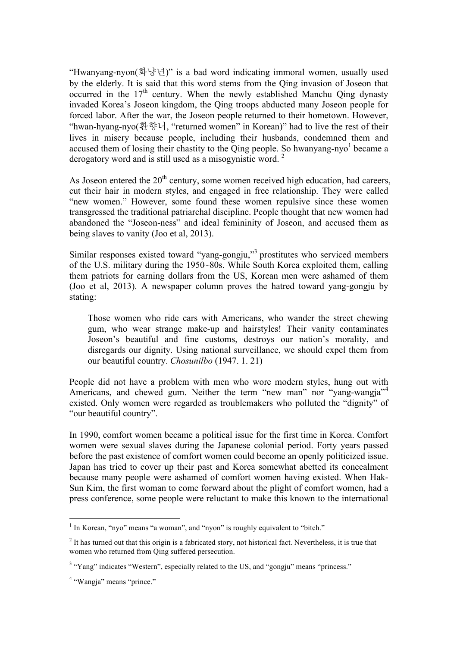"Hwanyang-nyon(화냥년)" is a bad word indicating immoral women, usually used by the elderly. It is said that this word stems from the Qing invasion of Joseon that occurred in the  $17<sup>th</sup>$  century. When the newly established Manchu Qing dynasty invaded Korea's Joseon kingdom, the Qing troops abducted many Joseon people for forced labor. After the war, the Joseon people returned to their hometown. However, "hwan-hyang-nyo(환향녀, "returned women" in Korean)" had to live the rest of their lives in misery because people, including their husbands, condemned them and accused them of losing their chastity to the Qing people. So hwanyang-nyo<sup>1</sup> became a derogatory word and is still used as a misogynistic word.<sup>2</sup>

As Joseon entered the  $20<sup>th</sup>$  century, some women received high education, had careers, cut their hair in modern styles, and engaged in free relationship. They were called "new women." However, some found these women repulsive since these women transgressed the traditional patriarchal discipline. People thought that new women had abandoned the "Joseon-ness" and ideal femininity of Joseon, and accused them as being slaves to vanity (Joo et al, 2013).

Similar responses existed toward "yang-gongju," <sup>3</sup> prostitutes who serviced members of the U.S. military during the 1950~80s. While South Korea exploited them, calling them patriots for earning dollars from the US, Korean men were ashamed of them (Joo et al, 2013). A newspaper column proves the hatred toward yang-gongju by stating:

Those women who ride cars with Americans, who wander the street chewing gum, who wear strange make-up and hairstyles! Their vanity contaminates Joseon's beautiful and fine customs, destroys our nation's morality, and disregards our dignity. Using national surveillance, we should expel them from our beautiful country. *Chosunilbo* (1947. 1. 21)

People did not have a problem with men who wore modern styles, hung out with Americans, and chewed gum. Neither the term "new man" nor "yang-wangja"<sup>4</sup> existed. Only women were regarded as troublemakers who polluted the "dignity" of "our beautiful country".

In 1990, comfort women became a political issue for the first time in Korea. Comfort women were sexual slaves during the Japanese colonial period. Forty years passed before the past existence of comfort women could become an openly politicized issue. Japan has tried to cover up their past and Korea somewhat abetted its concealment because many people were ashamed of comfort women having existed. When Hak-Sun Kim, the first woman to come forward about the plight of comfort women, had a press conference, some people were reluctant to make this known to the international

 $1$  In Korean, "nyo" means "a woman", and "nyon" is roughly equivalent to "bitch."

<sup>&</sup>lt;sup>2</sup> It has turned out that this origin is a fabricated story, not historical fact. Nevertheless, it is true that women who returned from Qing suffered persecution.

<sup>&</sup>lt;sup>3</sup> "Yang" indicates "Western", especially related to the US, and "gongju" means "princess."

<sup>4</sup> "Wangja" means "prince."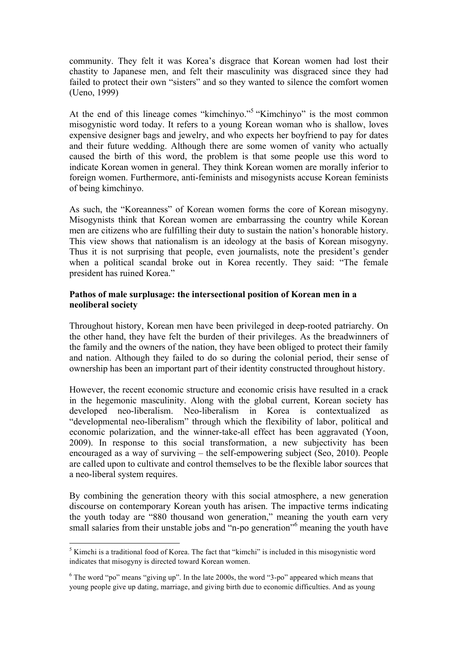community. They felt it was Korea's disgrace that Korean women had lost their chastity to Japanese men, and felt their masculinity was disgraced since they had failed to protect their own "sisters" and so they wanted to silence the comfort women (Ueno, 1999)

At the end of this lineage comes "kimchinyo."<sup>5</sup> "Kimchinyo" is the most common misogynistic word today. It refers to a young Korean woman who is shallow, loves expensive designer bags and jewelry, and who expects her boyfriend to pay for dates and their future wedding. Although there are some women of vanity who actually caused the birth of this word, the problem is that some people use this word to indicate Korean women in general. They think Korean women are morally inferior to foreign women. Furthermore, anti-feminists and misogynists accuse Korean feminists of being kimchinyo.

As such, the "Koreanness" of Korean women forms the core of Korean misogyny. Misogynists think that Korean women are embarrassing the country while Korean men are citizens who are fulfilling their duty to sustain the nation's honorable history. This view shows that nationalism is an ideology at the basis of Korean misogyny. Thus it is not surprising that people, even journalists, note the president's gender when a political scandal broke out in Korea recently. They said: "The female president has ruined Korea."

# **Pathos of male surplusage: the intersectional position of Korean men in a neoliberal society**

Throughout history, Korean men have been privileged in deep-rooted patriarchy. On the other hand, they have felt the burden of their privileges. As the breadwinners of the family and the owners of the nation, they have been obliged to protect their family and nation. Although they failed to do so during the colonial period, their sense of ownership has been an important part of their identity constructed throughout history.

However, the recent economic structure and economic crisis have resulted in a crack in the hegemonic masculinity. Along with the global current, Korean society has developed neo-liberalism. Neo-liberalism in Korea is contextualized as "developmental neo-liberalism" through which the flexibility of labor, political and economic polarization, and the winner-take-all effect has been aggravated (Yoon, 2009). In response to this social transformation, a new subjectivity has been encouraged as a way of surviving – the self-empowering subject (Seo, 2010). People are called upon to cultivate and control themselves to be the flexible labor sources that a neo-liberal system requires.

By combining the generation theory with this social atmosphere, a new generation discourse on contemporary Korean youth has arisen. The impactive terms indicating the youth today are "880 thousand won generation," meaning the youth earn very small salaries from their unstable jobs and "n-po generation"<sup>6</sup> meaning the youth have

<sup>&</sup>lt;sup>5</sup> Kimchi is a traditional food of Korea. The fact that "kimchi" is included in this misogynistic word indicates that misogyny is directed toward Korean women.

 $6$  The word "po" means "giving up". In the late 2000s, the word "3-po" appeared which means that young people give up dating, marriage, and giving birth due to economic difficulties. And as young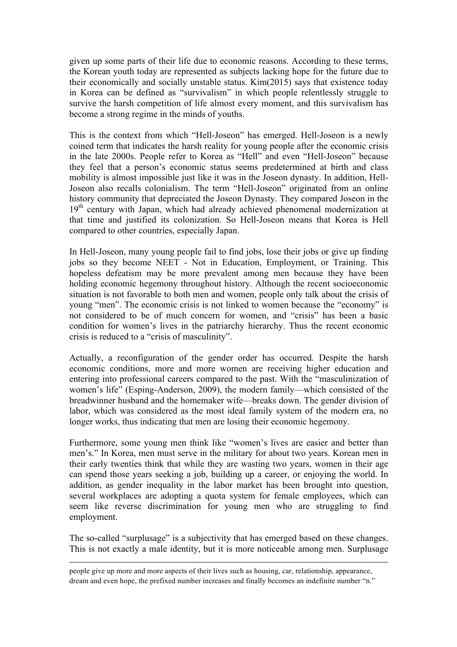given up some parts of their life due to economic reasons. According to these terms, the Korean youth today are represented as subjects lacking hope for the future due to their economically and socially unstable status. Kim(2015) says that existence today in Korea can be defined as "survivalism" in which people relentlessly struggle to survive the harsh competition of life almost every moment, and this survivalism has become a strong regime in the minds of youths.

This is the context from which "Hell-Joseon" has emerged. Hell-Joseon is a newly coined term that indicates the harsh reality for young people after the economic crisis in the late 2000s. People refer to Korea as "Hell" and even "Hell-Joseon" because they feel that a person's economic status seems predetermined at birth and class mobility is almost impossible just like it was in the Joseon dynasty. In addition, Hell-Joseon also recalls colonialism. The term "Hell-Joseon" originated from an online history community that depreciated the Joseon Dynasty. They compared Joseon in the 19<sup>th</sup> century with Japan, which had already achieved phenomenal modernization at that time and justified its colonization. So Hell-Joseon means that Korea is Hell compared to other countries, especially Japan.

In Hell-Joseon, many young people fail to find jobs, lose their jobs or give up finding jobs so they become NEET - Not in Education, Employment, or Training. This hopeless defeatism may be more prevalent among men because they have been holding economic hegemony throughout history. Although the recent socioeconomic situation is not favorable to both men and women, people only talk about the crisis of young "men". The economic crisis is not linked to women because the "economy" is not considered to be of much concern for women, and "crisis" has been a basic condition for women's lives in the patriarchy hierarchy. Thus the recent economic crisis is reduced to a "crisis of masculinity".

Actually, a reconfiguration of the gender order has occurred. Despite the harsh economic conditions, more and more women are receiving higher education and entering into professional careers compared to the past. With the "masculinization of women's life" (Esping-Anderson, 2009), the modern family—which consisted of the breadwinner husband and the homemaker wife—breaks down. The gender division of labor, which was considered as the most ideal family system of the modern era, no longer works, thus indicating that men are losing their economic hegemony.

Furthermore, some young men think like "women's lives are easier and better than men's." In Korea, men must serve in the military for about two years. Korean men in their early twenties think that while they are wasting two years, women in their age can spend those years seeking a job, building up a career, or enjoying the world. In addition, as gender inequality in the labor market has been brought into question, several workplaces are adopting a quota system for female employees, which can seem like reverse discrimination for young men who are struggling to find employment.

The so-called "surplusage" is a subjectivity that has emerged based on these changes. This is not exactly a male identity, but it is more noticeable among men. Surplusage

people give up more and more aspects of their lives such as housing, car, relationship, appearance, dream and even hope, the prefixed number increases and finally becomes an indefinite number "n."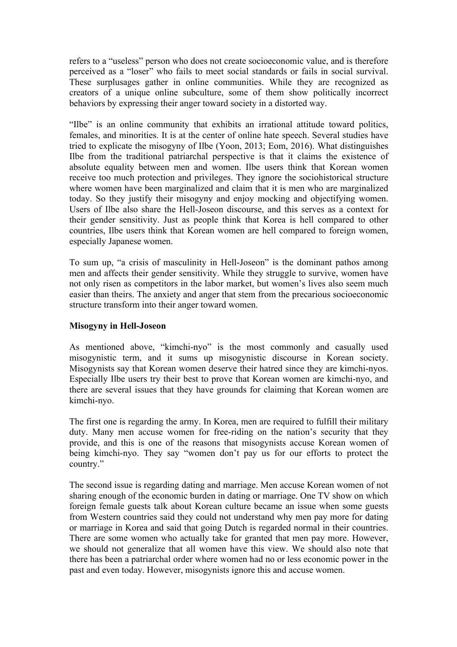refers to a "useless" person who does not create socioeconomic value, and is therefore perceived as a "loser" who fails to meet social standards or fails in social survival. These surplusages gather in online communities. While they are recognized as creators of a unique online subculture, some of them show politically incorrect behaviors by expressing their anger toward society in a distorted way.

"Ilbe" is an online community that exhibits an irrational attitude toward politics, females, and minorities. It is at the center of online hate speech. Several studies have tried to explicate the misogyny of Ilbe (Yoon, 2013; Eom, 2016). What distinguishes Ilbe from the traditional patriarchal perspective is that it claims the existence of absolute equality between men and women. Ilbe users think that Korean women receive too much protection and privileges. They ignore the sociohistorical structure where women have been marginalized and claim that it is men who are marginalized today. So they justify their misogyny and enjoy mocking and objectifying women. Users of Ilbe also share the Hell-Joseon discourse, and this serves as a context for their gender sensitivity. Just as people think that Korea is hell compared to other countries, Ilbe users think that Korean women are hell compared to foreign women, especially Japanese women.

To sum up, "a crisis of masculinity in Hell-Joseon" is the dominant pathos among men and affects their gender sensitivity. While they struggle to survive, women have not only risen as competitors in the labor market, but women's lives also seem much easier than theirs. The anxiety and anger that stem from the precarious socioeconomic structure transform into their anger toward women.

# **Misogyny in Hell-Joseon**

As mentioned above, "kimchi-nyo" is the most commonly and casually used misogynistic term, and it sums up misogynistic discourse in Korean society. Misogynists say that Korean women deserve their hatred since they are kimchi-nyos. Especially Ilbe users try their best to prove that Korean women are kimchi-nyo, and there are several issues that they have grounds for claiming that Korean women are kimchi-nyo.

The first one is regarding the army. In Korea, men are required to fulfill their military duty. Many men accuse women for free-riding on the nation's security that they provide, and this is one of the reasons that misogynists accuse Korean women of being kimchi-nyo. They say "women don't pay us for our efforts to protect the country."

The second issue is regarding dating and marriage. Men accuse Korean women of not sharing enough of the economic burden in dating or marriage. One TV show on which foreign female guests talk about Korean culture became an issue when some guests from Western countries said they could not understand why men pay more for dating or marriage in Korea and said that going Dutch is regarded normal in their countries. There are some women who actually take for granted that men pay more. However, we should not generalize that all women have this view. We should also note that there has been a patriarchal order where women had no or less economic power in the past and even today. However, misogynists ignore this and accuse women.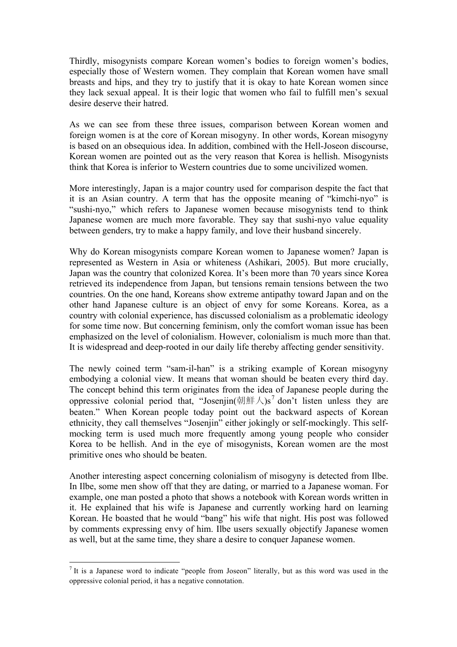Thirdly, misogynists compare Korean women's bodies to foreign women's bodies, especially those of Western women. They complain that Korean women have small breasts and hips, and they try to justify that it is okay to hate Korean women since they lack sexual appeal. It is their logic that women who fail to fulfill men's sexual desire deserve their hatred.

As we can see from these three issues, comparison between Korean women and foreign women is at the core of Korean misogyny. In other words, Korean misogyny is based on an obsequious idea. In addition, combined with the Hell-Joseon discourse, Korean women are pointed out as the very reason that Korea is hellish. Misogynists think that Korea is inferior to Western countries due to some uncivilized women.

More interestingly, Japan is a major country used for comparison despite the fact that it is an Asian country. A term that has the opposite meaning of "kimchi-nyo" is "sushi-nyo," which refers to Japanese women because misogynists tend to think Japanese women are much more favorable. They say that sushi-nyo value equality between genders, try to make a happy family, and love their husband sincerely.

Why do Korean misogynists compare Korean women to Japanese women? Japan is represented as Western in Asia or whiteness (Ashikari, 2005). But more crucially, Japan was the country that colonized Korea. It's been more than 70 years since Korea retrieved its independence from Japan, but tensions remain tensions between the two countries. On the one hand, Koreans show extreme antipathy toward Japan and on the other hand Japanese culture is an object of envy for some Koreans. Korea, as a country with colonial experience, has discussed colonialism as a problematic ideology for some time now. But concerning feminism, only the comfort woman issue has been emphasized on the level of colonialism. However, colonialism is much more than that. It is widespread and deep-rooted in our daily life thereby affecting gender sensitivity.

The newly coined term "sam-il-han" is a striking example of Korean misogyny embodying a colonial view. It means that woman should be beaten every third day. The concept behind this term originates from the idea of Japanese people during the oppressive colonial period that, "Josenjin(朝鮮人)s<sup>7</sup> don't listen unless they are beaten." When Korean people today point out the backward aspects of Korean ethnicity, they call themselves "Josenjin" either jokingly or self-mockingly. This selfmocking term is used much more frequently among young people who consider Korea to be hellish. And in the eye of misogynists, Korean women are the most primitive ones who should be beaten.

Another interesting aspect concerning colonialism of misogyny is detected from Ilbe. In Ilbe, some men show off that they are dating, or married to a Japanese woman. For example, one man posted a photo that shows a notebook with Korean words written in it. He explained that his wife is Japanese and currently working hard on learning Korean. He boasted that he would "bang" his wife that night. His post was followed by comments expressing envy of him. Ilbe users sexually objectify Japanese women as well, but at the same time, they share a desire to conquer Japanese women.

 $<sup>7</sup>$  It is a Japanese word to indicate "people from Joseon" literally, but as this word was used in the</sup> oppressive colonial period, it has a negative connotation.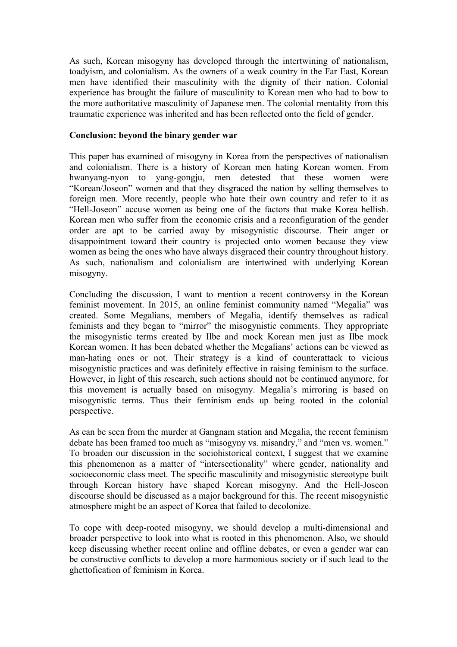As such, Korean misogyny has developed through the intertwining of nationalism, toadyism, and colonialism. As the owners of a weak country in the Far East, Korean men have identified their masculinity with the dignity of their nation. Colonial experience has brought the failure of masculinity to Korean men who had to bow to the more authoritative masculinity of Japanese men. The colonial mentality from this traumatic experience was inherited and has been reflected onto the field of gender.

### **Conclusion: beyond the binary gender war**

This paper has examined of misogyny in Korea from the perspectives of nationalism and colonialism. There is a history of Korean men hating Korean women. From hwanyang-nyon to yang-gongju, men detested that these women were "Korean/Joseon" women and that they disgraced the nation by selling themselves to foreign men. More recently, people who hate their own country and refer to it as "Hell-Joseon" accuse women as being one of the factors that make Korea hellish. Korean men who suffer from the economic crisis and a reconfiguration of the gender order are apt to be carried away by misogynistic discourse. Their anger or disappointment toward their country is projected onto women because they view women as being the ones who have always disgraced their country throughout history. As such, nationalism and colonialism are intertwined with underlying Korean misogyny.

Concluding the discussion, I want to mention a recent controversy in the Korean feminist movement. In 2015, an online feminist community named "Megalia" was created. Some Megalians, members of Megalia, identify themselves as radical feminists and they began to "mirror" the misogynistic comments. They appropriate the misogynistic terms created by Ilbe and mock Korean men just as Ilbe mock Korean women. It has been debated whether the Megalians' actions can be viewed as man-hating ones or not. Their strategy is a kind of counterattack to vicious misogynistic practices and was definitely effective in raising feminism to the surface. However, in light of this research, such actions should not be continued anymore, for this movement is actually based on misogyny. Megalia's mirroring is based on misogynistic terms. Thus their feminism ends up being rooted in the colonial perspective.

As can be seen from the murder at Gangnam station and Megalia, the recent feminism debate has been framed too much as "misogyny vs. misandry," and "men vs. women." To broaden our discussion in the sociohistorical context, I suggest that we examine this phenomenon as a matter of "intersectionality" where gender, nationality and socioeconomic class meet. The specific masculinity and misogynistic stereotype built through Korean history have shaped Korean misogyny. And the Hell-Joseon discourse should be discussed as a major background for this. The recent misogynistic atmosphere might be an aspect of Korea that failed to decolonize.

To cope with deep-rooted misogyny, we should develop a multi-dimensional and broader perspective to look into what is rooted in this phenomenon. Also, we should keep discussing whether recent online and offline debates, or even a gender war can be constructive conflicts to develop a more harmonious society or if such lead to the ghettofication of feminism in Korea.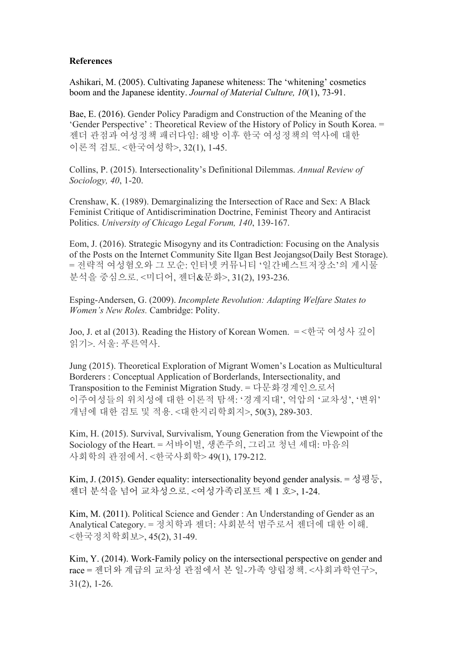# **References**

Ashikari, M. (2005). Cultivating Japanese whiteness: The 'whitening' cosmetics boom and the Japanese identity. *Journal of Material Culture, 10*(1), 73-91.

Bae, E. (2016). Gender Policy Paradigm and Construction of the Meaning of the 'Gender Perspective' : Theoretical Review of the History of Policy in South Korea. = 젠더 관점과 여성정책 패러다임: 해방 이후 한국 여성정책의 역사에 대한 이론적 검토. <한국여성학>, 32(1), 1-45.

Collins, P. (2015). Intersectionality's Definitional Dilemmas. *Annual Review of Sociology, 40*, 1-20.

Crenshaw, K. (1989). Demarginalizing the Intersection of Race and Sex: A Black Feminist Critique of Antidiscrimination Doctrine, Feminist Theory and Antiracist Politics. *University of Chicago Legal Forum, 140*, 139-167.

Eom, J. (2016). Strategic Misogyny and its Contradiction: Focusing on the Analysis of the Posts on the Internet Community Site Ilgan Best Jeojangso(Daily Best Storage). = 전략적 여성혐오와 그 모순: 인터넷 커뮤니티 '일간베스트저장소'의 게시물 분석을 중심으로. <미디어, 젠더&문화>, 31(2), 193-236.

Esping-Andersen, G. (2009). *Incomplete Revolution: Adapting Welfare States to Women's New Roles.* Cambridge: Polity.

Joo, J. et al (2013). Reading the History of Korean Women. = <한국 여성사 깊이 읽기>. 서울: 푸른역사.

Jung (2015). Theoretical Exploration of Migrant Women's Location as Multicultural Borderers : Conceptual Application of Borderlands, Intersectionality, and Transposition to the Feminist Migration Study. = 다문화경계인으로서 이주여성들의 위치성에 대한 이론적 탐색: '경계지대', 억압의 '교차성', '변위' 개념에 대한 검토 및 적용. <대한지리학회지>, 50(3), 289-303.

Kim, H. (2015). Survival, Survivalism, Young Generation from the Viewpoint of the Sociology of the Heart. = 서바이벌, 생존주의, 그리고 청년 세대: 마음의 사회학의 관점에서. <한국사회학> 49(1), 179-212.

Kim, J. (2015). Gender equality: intersectionality beyond gender analysis. = 성평등, 젠더 분석을 넘어 교차성으로. <여성가족리포트 제 1 호>, 1-24.

Kim, M. (2011). Political Science and Gender : An Understanding of Gender as an Analytical Category. = 정치학과 젠더: 사회분석 범주로서 젠더에 대한 이해. <한국정치학회보>, 45(2), 31-49.

Kim, Y. (2014). Work-Family policy on the intersectional perspective on gender and race = 젠더와 계급의 교차성 관점에서 본 일-가족 양립정책. <사회과학연구>, 31(2), 1-26.